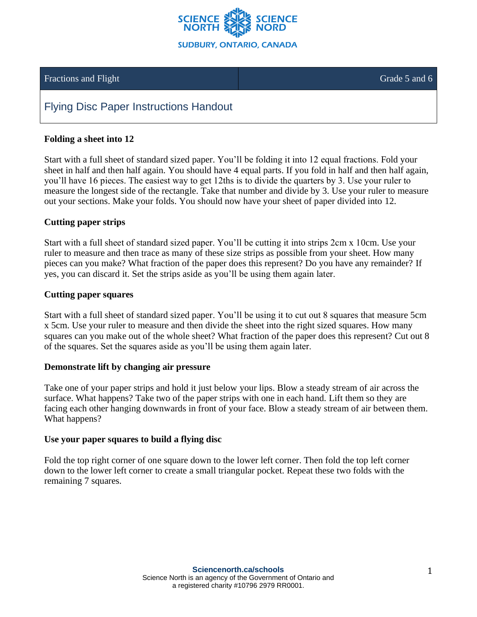

## Fractions and Flight Grade 5 and 6

# Flying Disc Paper Instructions Handout

### **Folding a sheet into 12**

Start with a full sheet of standard sized paper. You'll be folding it into 12 equal fractions. Fold your sheet in half and then half again. You should have 4 equal parts. If you fold in half and then half again, you'll have 16 pieces. The easiest way to get 12ths is to divide the quarters by 3. Use your ruler to measure the longest side of the rectangle. Take that number and divide by 3. Use your ruler to measure out your sections. Make your folds. You should now have your sheet of paper divided into 12.

#### **Cutting paper strips**

Start with a full sheet of standard sized paper. You'll be cutting it into strips 2cm x 10cm. Use your ruler to measure and then trace as many of these size strips as possible from your sheet. How many pieces can you make? What fraction of the paper does this represent? Do you have any remainder? If yes, you can discard it. Set the strips aside as you'll be using them again later.

#### **Cutting paper squares**

Start with a full sheet of standard sized paper. You'll be using it to cut out 8 squares that measure 5cm x 5cm. Use your ruler to measure and then divide the sheet into the right sized squares. How many squares can you make out of the whole sheet? What fraction of the paper does this represent? Cut out 8 of the squares. Set the squares aside as you'll be using them again later.

#### **Demonstrate lift by changing air pressure**

Take one of your paper strips and hold it just below your lips. Blow a steady stream of air across the surface. What happens? Take two of the paper strips with one in each hand. Lift them so they are facing each other hanging downwards in front of your face. Blow a steady stream of air between them. What happens?

#### **Use your paper squares to build a flying disc**

Fold the top right corner of one square down to the lower left corner. Then fold the top left corner down to the lower left corner to create a small triangular pocket. Repeat these two folds with the remaining 7 squares.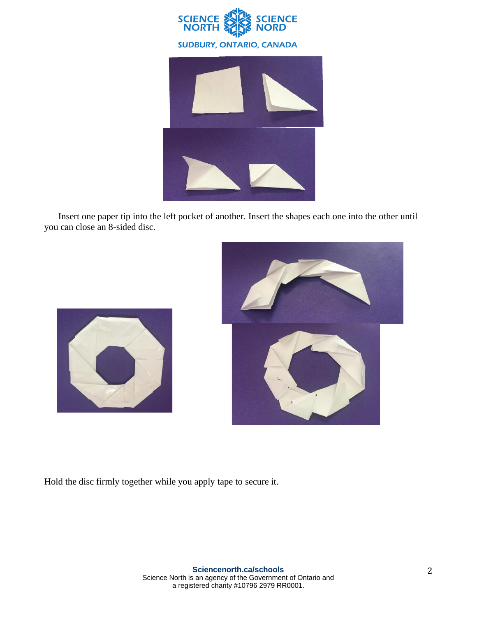



Insert one paper tip into the left pocket of another. Insert the shapes each one into the other until you can close an 8-sided disc.





Hold the disc firmly together while you apply tape to secure it.